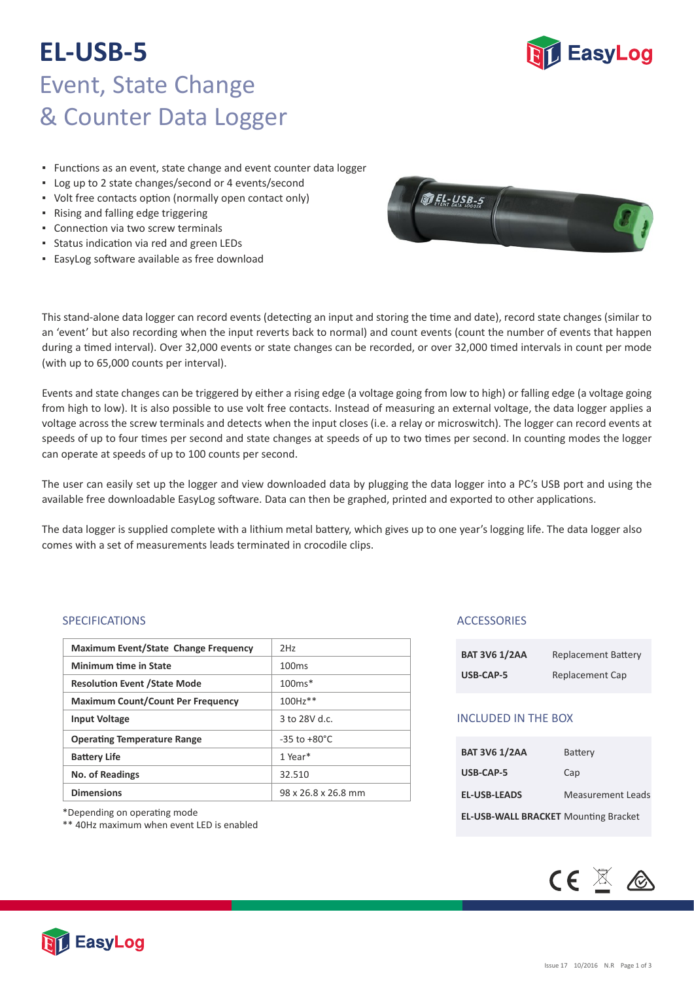# **EL-USB-5** Event, State Change & Counter Data Logger

**EasyLog** 

- **EUNCHONS AS AN EVENT, State change and event counter data logger**
- Log up to 2 state changes/second or 4 events/second
- Volt free contacts option (normally open contact only)
- Rising and falling edge triggering
- **Connection via two screw terminals**
- **•** Status indication via red and green LEDs
- EasyLog so�ware available as free download



This stand-alone data logger can record events (detecting an input and storing the time and date), record state changes (similar to an 'event' but also recording when the input reverts back to normal) and count events (count the number of events that happen during a timed interval). Over 32,000 events or state changes can be recorded, or over 32,000 timed intervals in count per mode (with up to 65,000 counts per interval).

Events and state changes can be triggered by either a rising edge (a voltage going from low to high) or falling edge (a voltage going from high to low). It is also possible to use volt free contacts. Instead of measuring an external voltage, the data logger applies a voltage across the screw terminals and detects when the input closes (i.e. a relay or microswitch). The logger can record events at speeds of up to four times per second and state changes at speeds of up to two times per second. In counting modes the logger can operate at speeds of up to 100 counts per second.

The user can easily set up the logger and view downloaded data by plugging the data logger into a PC's USB port and using the available free downloadable EasyLog software. Data can then be graphed, printed and exported to other applications.

The data logger is supplied complete with a lithium metal battery, which gives up to one year's logging life. The data logger also comes with a set of measurements leads terminated in crocodile clips.

#### SPECIFICATIONS

| <b>Maximum Event/State Change Frequency</b> | 2H <sub>7</sub>          |
|---------------------------------------------|--------------------------|
| <b>Minimum time in State</b>                | 100 <sub>ms</sub>        |
| <b>Resolution Event / State Mode</b>        | $100ms*$                 |
| <b>Maximum Count/Count Per Frequency</b>    | 100Hz**                  |
| <b>Input Voltage</b>                        | $3$ to 28V d.c.          |
| <b>Operating Temperature Range</b>          | $-35$ to $+80^{\circ}$ C |
| <b>Battery Life</b>                         | 1 Year $*$               |
| <b>No. of Readings</b>                      | 32.510                   |
| <b>Dimensions</b>                           | 98 x 26.8 x 26.8 mm      |

\*Depending on opera�ng mode

\*\* 40Hz maximum when event LED is enabled

### **ACCESSORIES**

| <b>BAT 3V6 1/2AA</b> | <b>Replacement Battery</b> |
|----------------------|----------------------------|
| USB-CAP-5            | Replacement Cap            |

### INCLUDED IN THE BOX

| <b>BAT 3V6 1/2AA</b>                        | Battery                  |
|---------------------------------------------|--------------------------|
| USB-CAP-5                                   | Cap                      |
| <b>EL-USB-LEADS</b>                         | <b>Measurement Leads</b> |
| <b>EL-USB-WALL BRACKET Mounting Bracket</b> |                          |



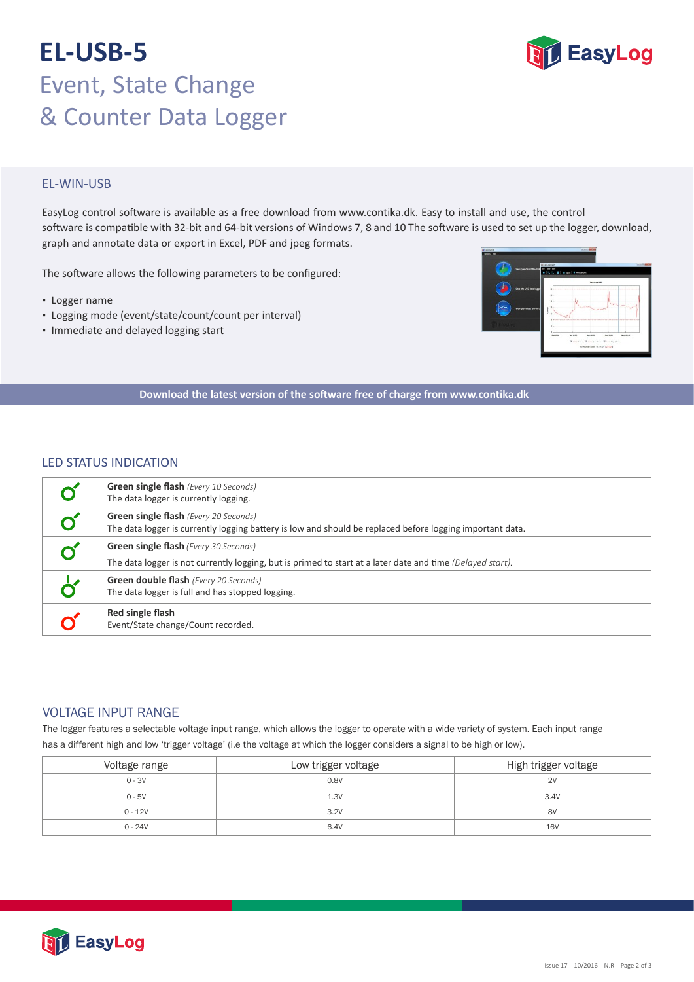# **EL-USB-5** Event, State Change & Counter Data Logger



## EL‐WIN‐USB

EasyLog control software is available as a free download from www.contika.dk. Easy to install and use, the control software is compatible with 32-bit and 64-bit versions of Windows 7, 8 and 10 The software is used to set up the logger, download, graph and annotate data or export in Excel, PDF and jpeg formats.

The software allows the following parameters to be configured:

- Logger name
- Logging mode (event/state/count/count per interval)
- Immediate and delayed logging start



**Download the latest version of the so�ware free of charge from www.contika.dk**

### LED STATUS INDICATION

| <b>Green single flash</b> (Every 10 Seconds)<br>The data logger is currently logging.                                                                      |  |
|------------------------------------------------------------------------------------------------------------------------------------------------------------|--|
| Green single flash (Every 20 Seconds)<br>The data logger is currently logging battery is low and should be replaced before logging important data.         |  |
| <b>Green single flash</b> (Every 30 Seconds)<br>The data logger is not currently logging, but is primed to start at a later date and time (Delayed start). |  |
| Green double flash (Every 20 Seconds)<br>The data logger is full and has stopped logging.                                                                  |  |
| Red single flash<br>Event/State change/Count recorded.                                                                                                     |  |

## VOLTAGE INPUT RANGE

The logger features a selectable voltage input range, which allows the logger to operate with a wide variety of system. Each input range has a different high and low 'trigger voltage' (i.e the voltage at which the logger considers a signal to be high or low).

| Voltage range | Low trigger voltage | High trigger voltage |
|---------------|---------------------|----------------------|
| $0 - 3V$      | 0.8V                | 2V                   |
| $0 - 5V$      | 1.3V                | 3.4V                 |
| $0 - 12V$     | 3.2V                | 8V                   |
| $0 - 24V$     | 6.4V                | <b>16V</b>           |